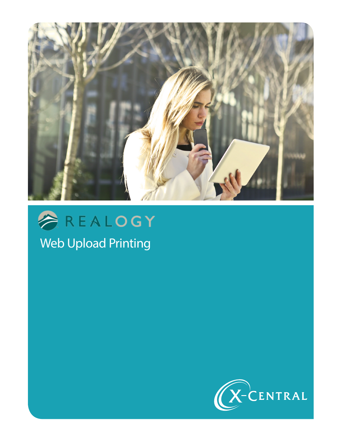



Web Upload Printing

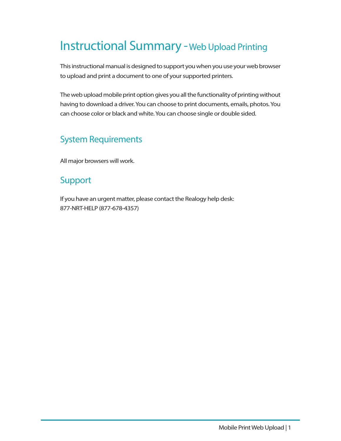## Instructional Summary -Web Upload Printing

This instructional manual is designed to support you when you use your web browser to upload and print a document to one of your supported printers.

The web upload mobile print option gives you all the functionality of printing without having to download a driver. You can choose to print documents, emails, photos. You can choose color or black and white. You can choose single or double sided.

#### System Requirements

All major browsers will work.

#### Support

If you have an urgent matter, please contact the Realogy help desk: 877-NRT-HELP (877-678-4357)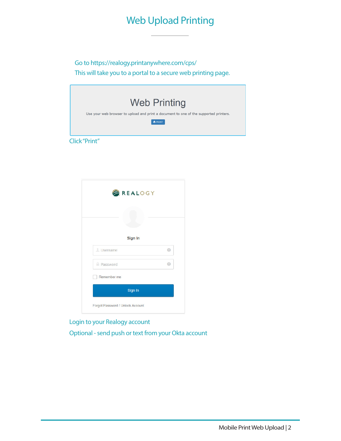### Web Upload Printing

Go to https://realogy.printanywhere.com/cps/ This will take you to a portal to a secure web printing page.





Login to your Realogy account

Optional - send push or text from your Okta account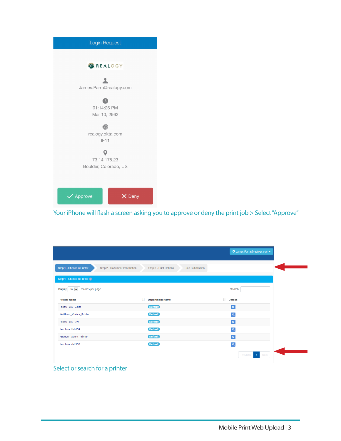

Your iPhone will flash a screen asking you to approve or deny the print job > Select "Approve"

|                                                            |    |                                          |    | ‡ James.Parra@realogy.com - |
|------------------------------------------------------------|----|------------------------------------------|----|-----------------------------|
| Step 1 - Choose a Printer<br>Step 2 - Document Information |    | Step 3 - Print Options<br>Job Submission |    |                             |
| Step 1 - Choose a Printer ?                                |    |                                          |    |                             |
| $10$ $\vee$<br>records per page<br><b>Display</b>          |    |                                          |    | Search:                     |
| <b>Printer Name</b>                                        | ĪŤ | <b>Department Name</b>                   | 1t | <b>Details</b>              |
| Follow_You_Color                                           |    | <b>Default</b>                           |    | $\overline{\mathbf{a}}$     |
| Waltham_Konica_Printer                                     |    | <b>Default</b>                           |    | $\alpha$                    |
| Follow_You_BW                                              |    | <b>Default</b>                           |    | $\overline{a}$              |
| den-hira-bbh654                                            |    | <b>Default</b>                           |    | $\alpha$                    |
| Andover_Agent_Printer                                      |    | <b>Default</b>                           |    | $\overline{a}$              |
| den-hira-abh558                                            |    | <b>Default</b>                           |    | $\overline{a}$              |
|                                                            |    |                                          |    | Previous<br>$-1$<br>Next    |

Select or search for a printer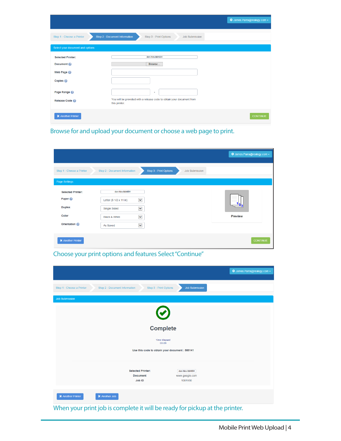|                                  |                                                                                        | <b><math>\blacklozenge</math></b> James.Parra@realogy.com – |
|----------------------------------|----------------------------------------------------------------------------------------|-------------------------------------------------------------|
| Step 1 - Choose a Printer        | Step 2 - Document Information<br>Step 3 - Print Options<br><b>Job Submission</b>       |                                                             |
| Select your document and options |                                                                                        |                                                             |
| <b>Selected Printer:</b>         | den-hira-bbh654                                                                        |                                                             |
| Document <sup>2</sup>            | Browse                                                                                 |                                                             |
| Web Page @                       |                                                                                        |                                                             |
| Copies <sup>2</sup>              |                                                                                        |                                                             |
| Page Range                       | ٠                                                                                      |                                                             |
| Release Code                     | You will be provided with a release code to obtain your document from<br>this printer. |                                                             |
| <b>K</b> Another Printer         |                                                                                        | <b>CONTINUE</b>                                             |

Browse for and upload your document or choose a web page to print.

|                                                                                           |                                                                                                                                                        |                                                 | <b><math>\Phi</math></b> James.Parra@realogy.com ▼ |
|-------------------------------------------------------------------------------------------|--------------------------------------------------------------------------------------------------------------------------------------------------------|-------------------------------------------------|----------------------------------------------------|
| Step 1 - Choose a Printer                                                                 | Step 2 - Document Information                                                                                                                          | Step 3 - Print Options<br><b>Job Submission</b> |                                                    |
| Page Settings                                                                             |                                                                                                                                                        |                                                 |                                                    |
| <b>Selected Printer:</b><br>Paper <sup>2</sup><br><b>Duplex</b><br>Color<br>Orientation @ | den-hira-bbh654<br>$\checkmark$<br>Letter (8 1/2 x 11 in)<br>$\checkmark$<br>Single Sided<br>$\checkmark$<br>Black & White<br>$\checkmark$<br>As Saved |                                                 | <b>Preview</b>                                     |
| K Another Printer                                                                         |                                                                                                                                                        |                                                 | <b>CONTINUE</b>                                    |

Choose your print options and features Select "Continue"

| <b><math>\Phi</math></b> James.Parra@realogy.com ►                                                                |  |  |  |  |  |
|-------------------------------------------------------------------------------------------------------------------|--|--|--|--|--|
| Step 3 - Print Options<br>Step 1 - Choose a Printer<br>Step 2 - Document Information<br><b>Job Submission</b>     |  |  |  |  |  |
| <b>Job Submission</b>                                                                                             |  |  |  |  |  |
|                                                                                                                   |  |  |  |  |  |
| <b>Complete</b>                                                                                                   |  |  |  |  |  |
| <b>Time Elapsed</b><br>00:09                                                                                      |  |  |  |  |  |
| Use this code to obtain your document : 585141                                                                    |  |  |  |  |  |
| <b>Selected Printer:</b><br>den-hira-bbh654<br>www.google.com<br><b>Document</b><br>Job ID<br>1001930             |  |  |  |  |  |
| K Another Printer<br>K Another Job<br>When your print job is complete it will be ready for pickup at the printer. |  |  |  |  |  |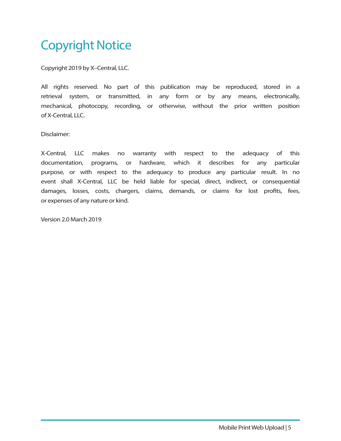# Copyright Notice

Copyright 2019 by X–Central, LLC.

All rights reserved. No part of this publication may be reproduced, stored in a retrieval system, or transmitted, in any form or by any means, electronically, mechanical, photocopy, recording, or otherwise, without the prior written position of X-Central, LLC.

Disclaimer:

X-Central, LLC makes no warranty with respect to the adequacy of this documentation, programs, or hardware, which it describes for any particular purpose, or with respect to the adequacy to produce any particular result. In no event shall X-Central, LLC be held liable for special, direct, indirect, or consequential damages, losses, costs, chargers, claims, demands, or claims for lost profits, fees, or expenses of any nature or kind.

Version 2.0 March 2019